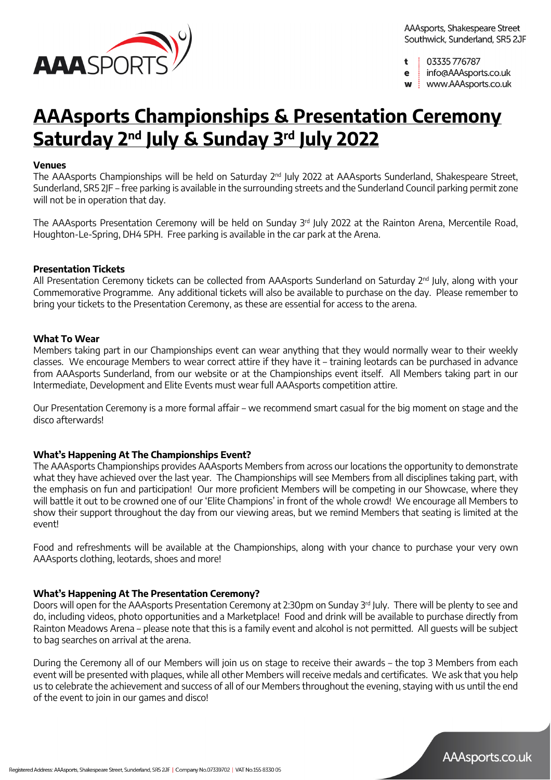

t 03335776787

e

info@AAAsports.co.uk

www.AAAsports.co.uk W

## **AAAsports Championships & Presentation Ceremony Saturday 2nd July & Sunday 3rd July 2022**

### **Venues**

The AAAsports Championships will be held on Saturday 2<sup>nd</sup> July 2022 at AAAsports Sunderland, Shakespeare Street, Sunderland, SR5 2JF – free parking is available in the surrounding streets and the Sunderland Council parking permit zone will not be in operation that day.

The AAAsports Presentation Ceremony will be held on Sunday  $3<sup>rd</sup>$  July 2022 at the Rainton Arena, Mercentile Road, Houghton-Le-Spring, DH4 5PH. Free parking is available in the car park at the Arena.

#### **Presentation Tickets**

All Presentation Ceremony tickets can be collected from AAAsports Sunderland on Saturday 2<sup>nd</sup> July, along with your Commemorative Programme. Any additional tickets will also be available to purchase on the day. Please remember to bring your tickets to the Presentation Ceremony, as these are essential for access to the arena.

#### **What To Wear**

Members taking part in our Championships event can wear anything that they would normally wear to their weekly classes. We encourage Members to wear correct attire if they have it – training leotards can be purchased in advance from AAAsports Sunderland, from our website or at the Championships event itself. All Members taking part in our Intermediate, Development and Elite Events must wear full AAAsports competition attire.

Our Presentation Ceremony is a more formal affair – we recommend smart casual for the big moment on stage and the disco afterwards!

### **What's Happening At The Championships Event?**

The AAAsports Championships provides AAAsports Members from across our locations the opportunity to demonstrate what they have achieved over the last year. The Championships will see Members from all disciplines taking part, with the emphasis on fun and participation! Our more proficient Members will be competing in our Showcase, where they will battle it out to be crowned one of our 'Elite Champions' in front of the whole crowd! We encourage all Members to show their support throughout the day from our viewing areas, but we remind Members that seating is limited at the event!

Food and refreshments will be available at the Championships, along with your chance to purchase your very own AAAsports clothing, leotards, shoes and more!

### **What's Happening At The Presentation Ceremony?**

Doors will open for the AAAsports Presentation Ceremony at 2:30pm on Sunday 3rd July. There will be plenty to see and do, including videos, photo opportunities and a Marketplace! Food and drink will be available to purchase directly from Rainton Meadows Arena – please note that this is a family event and alcohol is not permitted. All guests will be subject to bag searches on arrival at the arena.

During the Ceremony all of our Members will join us on stage to receive their awards – the top 3 Members from each event will be presented with plaques, while all other Members will receive medals and certificates. We ask that you help us to celebrate the achievement and success of all of our Members throughout the evening, staying with us until the end of the event to join in our games and disco!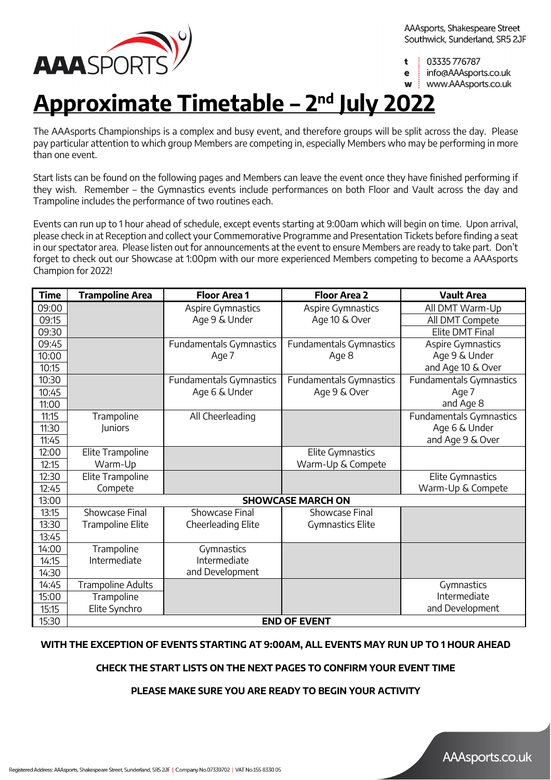

03335776787 ٠

e

info@AAAsports.co.uk

www.AAAsports.co.uk

## **Approximate Timetable – 2nd July 2022**

The AAAsports Championships is a complex and busy event, and therefore groups will be split across the day. Please pay particular attention to which group Members are competing in, especially Members who may be performing in more than one event.

Start lists can be found on the following pages and Members can leave the event once they have finished performing if they wish. Remember – the Gymnastics events include performances on both Floor and Vault across the day and Trampoline includes the performance of two routines each.

Events can run up to 1 hour ahead of schedule, except events starting at 9:00am which will begin on time. Upon arrival, please check in at Reception and collect your Commemorative Programme and Presentation Tickets before finding a seat in our spectator area. Please listen out for announcements at the event to ensure Members are ready to take part. Don't forget to check out our Showcase at 1:00pm with our more experienced Members competing to become a AAAsports Champion for 2022!

| <b>Time</b> | <b>Trampoline Area</b>   | <b>Floor Area 1</b>     | <b>Floor Area 2</b>      | <b>Vault Area</b>       |
|-------------|--------------------------|-------------------------|--------------------------|-------------------------|
| 09:00       |                          | Aspire Gymnastics       | Aspire Gymnastics        | All DMT Warm-Up         |
| 09:15       |                          | Age 9 & Under           | Age 10 & Over            | All DMT Compete         |
| 09:30       |                          |                         |                          | Elite DMT Final         |
| 09:45       |                          | Fundamentals Gymnastics | Fundamentals Gymnastics  | Aspire Gymnastics       |
| 10:00       |                          | Age 7                   | Age 8                    | Age 9 & Under           |
| 10:15       |                          |                         |                          | and Age 10 & Over       |
| 10:30       |                          | Fundamentals Gymnastics | Fundamentals Gymnastics  | Fundamentals Gymnastics |
| 10:45       |                          | Age 6 & Under           | Age 9 & Over             | Age 7                   |
| 11:00       |                          |                         |                          | and Age 8               |
| 11:15       | Trampoline               | All Cheerleading        |                          | Fundamentals Gymnastics |
| 11:30       | Juniors                  |                         |                          | Age 6 & Under           |
| 11:45       |                          |                         |                          | and Age 9 & Over        |
| 12:00       | Elite Trampoline         |                         | Elite Gymnastics         |                         |
| 12:15       | Warm-Up                  |                         | Warm-Up & Compete        |                         |
| 12:30       | Elite Trampoline         |                         |                          | Elite Gymnastics        |
| 12:45       | Compete                  |                         |                          | Warm-Up & Compete       |
| 13:00       |                          |                         | <b>SHOWCASE MARCH ON</b> |                         |
| 13:15       | <b>Showcase Final</b>    | Showcase Final          | Showcase Final           |                         |
| 13:30       | <b>Trampoline Elite</b>  | Cheerleading Elite      | <b>Gymnastics Elite</b>  |                         |
| 13:45       |                          |                         |                          |                         |
| 14:00       | Trampoline               | Gymnastics              |                          |                         |
| 14:15       | Intermediate             | Intermediate            |                          |                         |
| 14:30       |                          | and Development         |                          |                         |
| 14:45       | <b>Trampoline Adults</b> |                         |                          | Gymnastics              |
| 15:00       | Trampoline               |                         |                          | Intermediate            |
| 15:15       | Elite Synchro            |                         |                          | and Development         |
| 15:30       |                          |                         | <b>END OF EVENT</b>      |                         |

### **WITH THE EXCEPTION OF EVENTS STARTING AT 9:00AM, ALL EVENTS MAY RUN UP TO 1 HOUR AHEAD**

### **CHECK THE START LISTS ON THE NEXT PAGES TO CONFIRM YOUR EVENT TIME**

### **PLEASE MAKE SURE YOU ARE READY TO BEGIN YOUR ACTIVITY**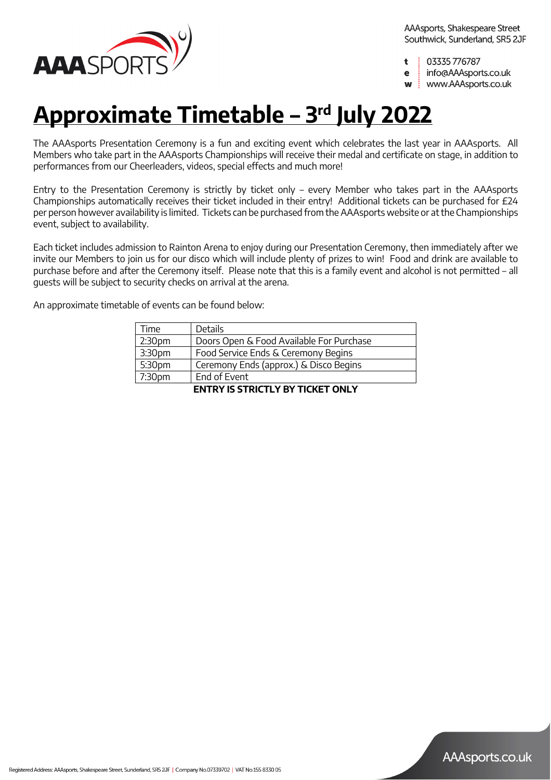

03335776787 t

info@AAAsports.co.uk e

www.AAAsports.co.uk W

## **Approximate Timetable – 3rd July 2022**

The AAAsports Presentation Ceremony is a fun and exciting event which celebrates the last year in AAAsports. All Members who take part in the AAAsports Championships will receive their medal and certificate on stage, in addition to performances from our Cheerleaders, videos, special effects and much more!

Entry to the Presentation Ceremony is strictly by ticket only – every Member who takes part in the AAAsports Championships automatically receives their ticket included in their entry! Additional tickets can be purchased for £24 per person however availability is limited. Tickets can be purchased from the AAAsports website or at the Championships event, subject to availability.

Each ticket includes admission to Rainton Arena to enjoy during our Presentation Ceremony, then immediately after we invite our Members to join us for our disco which will include plenty of prizes to win! Food and drink are available to purchase before and after the Ceremony itself. Please note that this is a family event and alcohol is not permitted – all guests will be subject to security checks on arrival at the arena.

An approximate timetable of events can be found below:

| Time                                    | <b>Details</b>                           |  |  |
|-----------------------------------------|------------------------------------------|--|--|
| 2:30 <sub>pm</sub>                      | Doors Open & Food Available For Purchase |  |  |
| 3:30pm                                  | Food Service Ends & Ceremony Begins      |  |  |
| 5:30pm                                  | Ceremony Ends (approx.) & Disco Begins   |  |  |
| 7:30pm                                  | End of Event                             |  |  |
| <b>ENTRY IS STRICTLY BY TICKET ONLY</b> |                                          |  |  |

Registered Address: AAAsports, Shakespeare Street, Sunderland, SR5 2JF | Company No.07339702 | VAT No.155 8330 05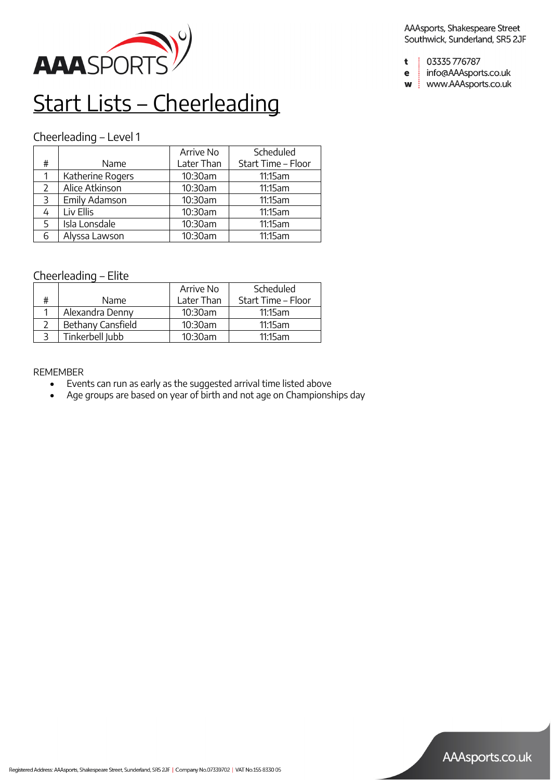

## Start Lists – Cheerleading

## Cheerleading – Level 1

|               |                  | Arrive No  | Scheduled          |
|---------------|------------------|------------|--------------------|
| #             | Name             | Later Than | Start Time - Floor |
|               | Katherine Rogers | 10:30am    | 11:15am            |
| $\mathcal{L}$ | Alice Atkinson   | 10:30am    | 11:15am            |
| 3             | Emily Adamson    | 10:30am    | 11:15am            |
|               | Liv Ellis        | 10:30am    | 11:15am            |
| 5             | Isla Lonsdale    | 10:30am    | 11:15am            |
| 6             | Alyssa Lawson    | 10:30am    | 11:15am            |

## Cheerleading – Elite

|   |                   | Arrive No  | <b>Scheduled</b>   |
|---|-------------------|------------|--------------------|
| # | Name.             | Later Than | Start Time - Floor |
|   | Alexandra Denny   | 10:30am    | 11:15am            |
|   | Bethany Cansfield | 10:30am    | 11:15am            |
|   | Tinkerbell Jubb   | 10:30am    | 11:15am            |

### REMEMBER

- Events can run as early as the suggested arrival time listed above
- Age groups are based on year of birth and not age on Championships day

AAAsports, Shakespeare Street Southwick, Sunderland, SR5 2JF

- 03335776787 t
- info@AAAsports.co.uk  $\mathbf e$
- w | www.AAAsports.co.uk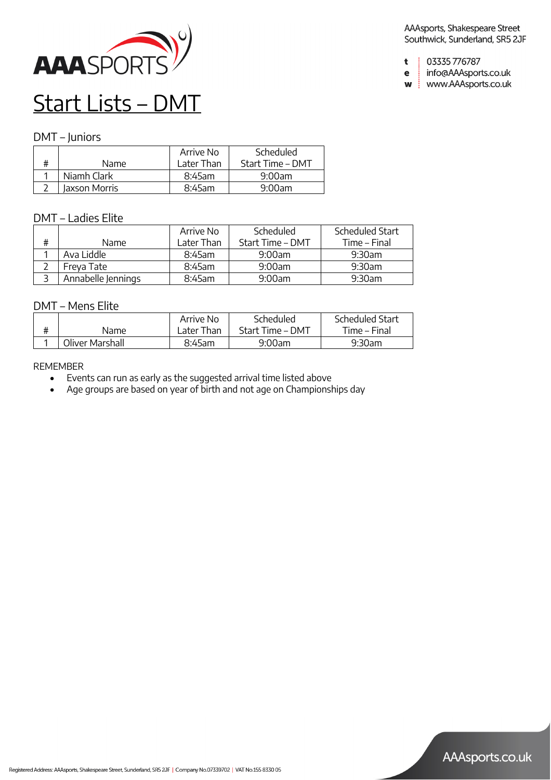

- 03335776787  $\mathbf t$
- info@AAAsports.co.uk  $\mathbf e$

w | www.AAAsports.co.uk

## Start Lists – DMT

### DMT – Juniors

|               | Arrive No  | Scheduled        |
|---------------|------------|------------------|
| Name          | Later Than | Start Time – DMT |
| Niamh Clark   | $8:45$ am  | 9:00am           |
| Jaxson Morris | $8:45$ am  | $9:00$ am        |

### DMT – Ladies Elite

|   |                    | Arrive No   | Scheduled        | Scheduled Start |
|---|--------------------|-------------|------------------|-----------------|
| # | Name.              | I ater Than | Start Time - DMT | Time – Final    |
|   | Ava Liddle         | $8:45$ am   | 9:00am           | 9:30am          |
|   | Freva Tate         | $8:45$ am   | 9:00am           | 9:30am          |
|   | Annabelle Jennings | 8:45am      | 9:00am           | 9:30am          |

### DMT – Mens Elite

|                 | Arrive No   | Scheduled        | Scheduled Start |
|-----------------|-------------|------------------|-----------------|
| Name            | ! ater Than | Start Time – DMT | Time – Final    |
| Oliver Marshall | 8:45am      | $9:00$ am        | 9:30am          |

- Events can run as early as the suggested arrival time listed above
- Age groups are based on year of birth and not age on Championships day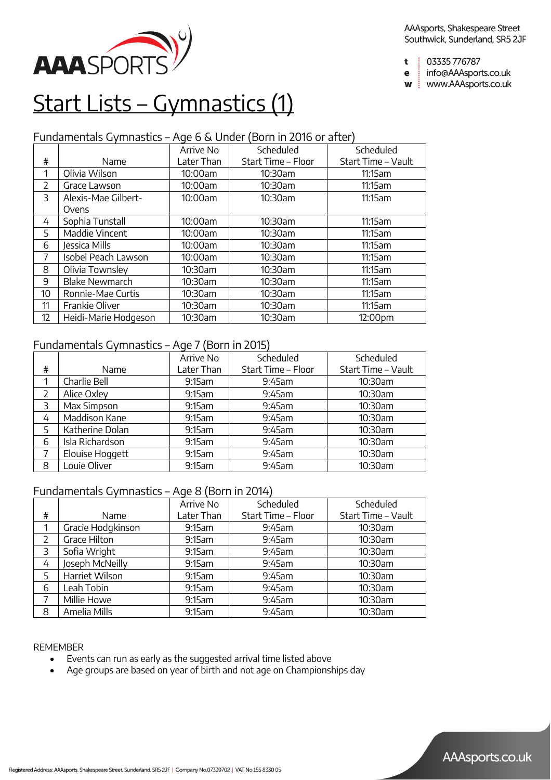

- 03335 776787  $\ddot{\mathbf{t}}$
- info@AAAsports.co.uk e
- w | www.AAAsports.co.uk

## Start Lists – Gymnastics (1)

## Fundamentals Gymnastics – Age 6 & Under (Born in 2016 or after)

|               |                       | Arrive No  | Scheduled          | Scheduled          |
|---------------|-----------------------|------------|--------------------|--------------------|
| #             | Name                  | Later Than | Start Time – Floor | Start Time - Vault |
|               | Olivia Wilson         | 10:00am    | 10:30am            | 11:15am            |
| $\mathcal{P}$ | Grace Lawson          | 10:00am    | 10:30am            | 11:15am            |
| 3             | Alexis-Mae Gilbert-   | 10:00am    | 10:30am            | 11:15am            |
|               | Ovens                 |            |                    |                    |
| 4             | Sophia Tunstall       | 10:00am    | 10:30am            | 11:15am            |
| 5             | Maddie Vincent        | 10:00am    | 10:30am            | 11:15am            |
| 6             | Jessica Mills         | 10:00am    | 10:30am            | 11:15am            |
| 7             | Isobel Peach Lawson   | 10:00am    | 10:30am            | 11:15am            |
| 8             | Olivia Townsley       | 10:30am    | 10:30am            | 11:15am            |
| 9             | <b>Blake Newmarch</b> | 10:30am    | 10:30am            | 11:15am            |
| 10            | Ronnie-Mae Curtis     | 10:30am    | 10:30am            | 11:15am            |
| 11            | Frankie Oliver        | 10:30am    | 10:30am            | 11:15am            |
| 12            | Heidi-Marie Hodgeson  | 10:30am    | 10:30am            | 12:00pm            |

### Fundamentals Gymnastics – Age 7 (Born in 2015)

|   |                 | Arrive No  | Scheduled          | Scheduled          |
|---|-----------------|------------|--------------------|--------------------|
| # | Name            | Later Than | Start Time - Floor | Start Time - Vault |
|   | Charlie Bell    | 9:15am     | 9:45am             | 10:30am            |
|   | Alice Oxley     | 9:15am     | 9:45am             | 10:30am            |
| 3 | Max Simpson     | 9:15am     | 9:45am             | $10:30$ am         |
| 4 | Maddison Kane   | 9:15am     | 9:45am             | $10:30$ am         |
| 5 | Katherine Dolan | 9:15am     | 9:45am             | 10:30am            |
| 6 | Isla Richardson | 9:15am     | 9:45am             | 10:30am            |
| 7 | Elouise Hoggett | 9:15am     | $9:45$ am          | $10:30$ am         |
| 8 | Louie Oliver    | 9:15am     | 9:45am             | 10:30am            |

## Fundamentals Gymnastics – Age 8 (Born in 2014)

|   |                   | Arrive No  | Scheduled          | Scheduled          |
|---|-------------------|------------|--------------------|--------------------|
| # | Name              | Later Than | Start Time - Floor | Start Time - Vault |
|   | Gracie Hodgkinson | 9:15am     | 9:45am             | 10:30am            |
|   | Grace Hilton      | 9:15am     | $9:45$ am          | $10:30$ am         |
| 3 | Sofia Wright      | 9:15am     | 9:45am             | $10:30$ am         |
| 4 | Joseph McNeilly   | 9:15am     | 9:45am             | 10:30am            |
| 5 | Harriet Wilson    | 9:15am     | 9:45am             | 10:30am            |
| 6 | Leah Tobin        | 9:15am     | $9:45$ am          | $10:30$ am         |
|   | Millie Howe       | 9:15am     | 9:45am             | 10:30am            |
| 8 | Amelia Mills      | 9:15am     | 9:45am             | 10:30am            |

- Events can run as early as the suggested arrival time listed above
- Age groups are based on year of birth and not age on Championships day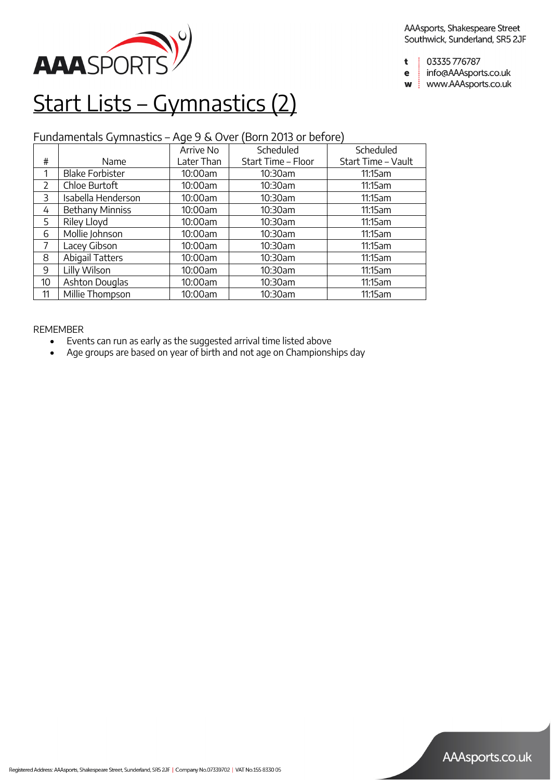

- 03335776787  $\ddot{\mathbf{t}}$
- info@AAAsports.co.uk e
- w | www.AAAsports.co.uk

## Start Lists – Gymnastics (2)

## Fundamentals Gymnastics – Age 9 & Over (Born 2013 or before)

|               |                        | Arrive No  | Scheduled          | Scheduled          |
|---------------|------------------------|------------|--------------------|--------------------|
| #             | Name                   | Later Than | Start Time - Floor | Start Time - Vault |
| 1             | <b>Blake Forbister</b> | 10:00am    | 10:30am            | 11:15am            |
| $\mathcal{P}$ | Chloe Burtoft          | 10:00am    | 10:30am            | 11:15am            |
| 3             | Isabella Henderson     | 10:00am    | 10:30am            | 11:15am            |
| 4             | Bethany Minniss        | 10:00am    | 10:30am            | 11:15am            |
| 5             | Riley Lloyd            | 10:00am    | 10:30am            | 11:15am            |
| 6             | Mollie Johnson         | 10:00am    | 10:30am            | 11:15am            |
| 7             | Lacey Gibson           | 10:00am    | 10:30am            | 11:15am            |
| 8             | <b>Abigail Tatters</b> | 10:00am    | 10:30am            | 11:15am            |
| 9             | Lilly Wilson           | 10:00am    | 10:30am            | 11:15am            |
| 10            | Ashton Douglas         | 10:00am    | 10:30am            | 11:15am            |
| 11            | Millie Thompson        | 10:00am    | 10:30am            | 11:15am            |

- Events can run as early as the suggested arrival time listed above
- Age groups are based on year of birth and not age on Championships day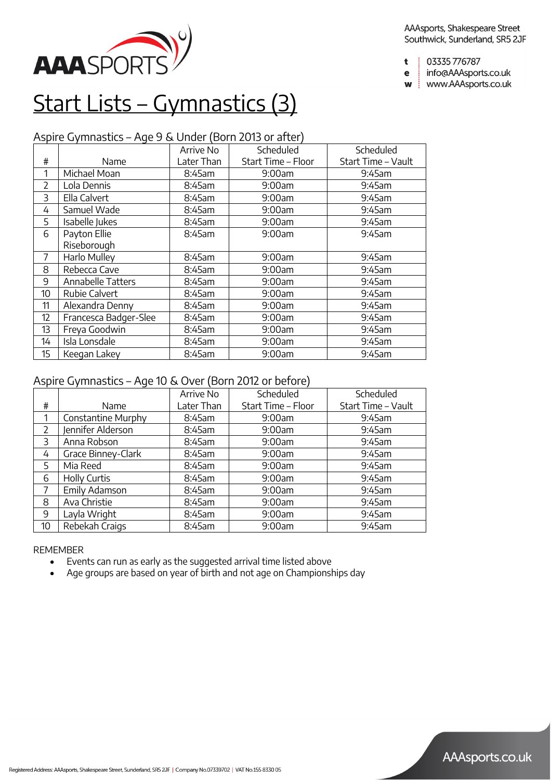

- 03335 776787  $\mathbf t$
- info@AAAsports.co.uk e
- w | www.AAAsports.co.uk

## Start Lists – Gymnastics (3)

## Aspire Gymnastics – Age 9 & Under (Born 2013 or after)

|                |                          | Arrive No  | Scheduled          | Scheduled          |
|----------------|--------------------------|------------|--------------------|--------------------|
| #              | Name                     | Later Than | Start Time - Floor | Start Time - Vault |
| 1              | Michael Moan             | 8:45am     | 9:00am             | 9:45am             |
| $\overline{2}$ | Lola Dennis              | 8:45am     | 9:00am             | 9:45am             |
| 3              | Ella Calvert             | 8:45am     | 9:00am             | 9:45am             |
| 4              | Samuel Wade              | $8:45$ am  | 9:00am             | 9:45am             |
| 5.             | Isabelle Jukes           | 8:45am     | 9:00am             | 9:45am             |
| 6              | Payton Ellie             | 8:45am     | 9:00am             | 9:45am             |
|                | Riseborough              |            |                    |                    |
| 7              | Harlo Mulley             | 8:45am     | 9:00am             | 9:45am             |
| 8              | Rebecca Cave             | 8:45am     | 9:00am             | 9:45am             |
| 9              | <b>Annabelle Tatters</b> | 8:45am     | 9:00am             | 9:45am             |
| 10             | Rubie Calvert            | 8:45am     | 9:00am             | 9:45am             |
| 11             | Alexandra Denny          | 8:45am     | 9:00am             | 9:45am             |
| 12             | Francesca Badger-Slee    | 8:45am     | 9:00am             | 9:45am             |
| 13             | Freya Goodwin            | 8:45am     | 9:00am             | 9:45am             |
| 14             | Isla Lonsdale            | 8:45am     | 9:00am             | 9:45am             |
| 15             | Keegan Lakey             | 8:45am     | 9:00am             | 9:45am             |

## Aspire Gymnastics – Age 10 & Over (Born 2012 or before)

|                          |                     | Arrive No  | Scheduled          | Scheduled          |
|--------------------------|---------------------|------------|--------------------|--------------------|
| #                        | Name                | Later Than | Start Time - Floor | Start Time - Vault |
|                          | Constantine Murphy  | 8:45am     | 9:00am             | 9:45am             |
| $\overline{\phantom{0}}$ | Jennifer Alderson   | 8:45am     | 9:00am             | 9:45am             |
| 3                        | Anna Robson         | 8:45am     | 9:00am             | 9:45am             |
| 4                        | Grace Binney-Clark  | 8:45am     | 9:00am             | 9:45am             |
| 5                        | Mia Reed            | 8:45am     | 9:00am             | 9:45am             |
| 6                        | <b>Holly Curtis</b> | 8:45am     | 9:00am             | 9:45am             |
| 7                        | Emily Adamson       | 8:45am     | 9:00am             | 9:45am             |
| 8                        | Ava Christie        | 8:45am     | 9:00am             | 9:45am             |
| 9                        | Layla Wright        | 8:45am     | 9:00am             | $9:45$ am          |
| 10                       | Rebekah Craigs      | 8:45am     | 9:00am             | 9:45am             |

- Events can run as early as the suggested arrival time listed above
- Age groups are based on year of birth and not age on Championships day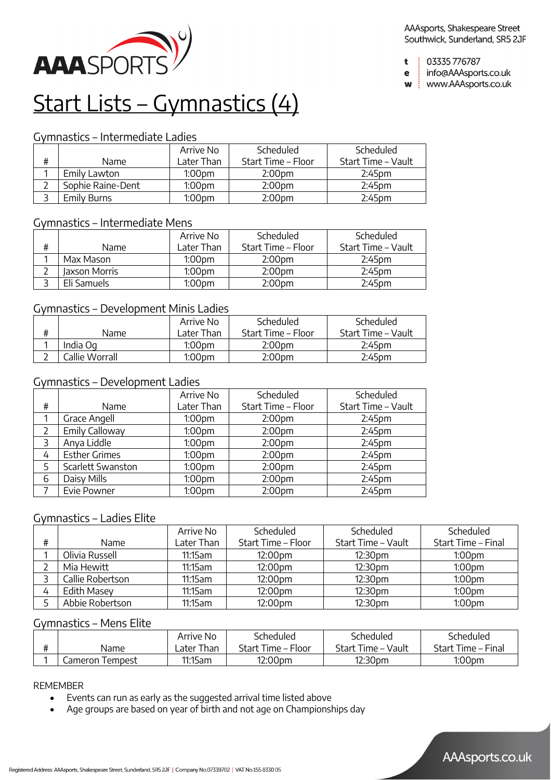

- 03335 776787  $\mathbf t$
- info@AAAsports.co.uk e
- w | www.AAAsports.co.uk

## Start Lists – Gymnastics (4)

### Gymnastics – Intermediate Ladies

|   |                   | Arrive No          | Scheduled          | Scheduled          |
|---|-------------------|--------------------|--------------------|--------------------|
| # | <b>Name</b>       | Later Than         | Start Time – Floor | Start Time – Vault |
|   | Emily Lawton      | 1:00 <sub>pm</sub> | 2:00pm             | 2:45 <sub>pm</sub> |
|   | Sophie Raine-Dent | 1:00 <sub>pm</sub> | 2:00 <sub>pm</sub> | 2:45 <sub>pm</sub> |
|   | Emily Burns       | 1:00 <sub>pm</sub> | 2:00pm             | 2:45pm             |

## Gymnastics – Intermediate Mens

|   |               | Arrive No          | Scheduled          | Scheduled          |
|---|---------------|--------------------|--------------------|--------------------|
| # | Name          | Later Than         | Start Time – Floor | Start Time – Vault |
|   | Max Mason     | 1:00 <sub>pm</sub> | 2:00 <sub>pm</sub> | 2:45 <sub>pm</sub> |
|   | Jaxson Morris | 1:00 <sub>pm</sub> | 2:00 <sub>pm</sub> | 2:45 <sub>pm</sub> |
|   | Eli Samuels   | 1:00 <sub>pm</sub> | 2:00 <sub>pm</sub> | 2:45 <sub>pm</sub> |

### Gymnastics – Development Minis Ladies

|   |                | Arrive No          | Scheduled          | Scheduled          |
|---|----------------|--------------------|--------------------|--------------------|
| # | Name           | l ater Than        | Start Time – Floor | Start Time – Vault |
|   | India Og       | 1:00pm             | 2:00 <sub>pm</sub> | 2:45 <sub>pm</sub> |
|   | Callie Worrall | 1:00 <sub>pm</sub> | 2:00 <sub>pm</sub> | $2:45$ pm          |

## Gymnastics – Development Ladies

|   |                      | Arrive No          | Scheduled          | Scheduled          |
|---|----------------------|--------------------|--------------------|--------------------|
| # | Name                 | Later Than         | Start Time - Floor | Start Time - Vault |
|   | Grace Angell         | 1:00 <sub>pm</sub> | 2:00 <sub>pm</sub> | 2:45pm             |
|   | Emily Calloway       | 1:00 <sub>pm</sub> | 2:00 <sub>pm</sub> | 2:45pm             |
| 3 | Anya Liddle          | 1:00 <sub>pm</sub> | 2:00 <sub>pm</sub> | 2:45pm             |
| 4 | <b>Esther Grimes</b> | 1:00 <sub>pm</sub> | 2:00 <sub>pm</sub> | 2:45 <sub>pm</sub> |
|   | Scarlett Swanston    | 1:00 <sub>pm</sub> | 2:00 <sub>pm</sub> | 2:45pm             |
| 6 | Daisy Mills          | 1:00 <sub>pm</sub> | 2:00 <sub>pm</sub> | 2:45pm             |
|   | Evie Powner          | 1:00 <sub>pm</sub> | 2:00 <sub>pm</sub> | 2:45pm             |

### Gymnastics – Ladies Elite

|   |                  | Arrive No  | Scheduled          | Scheduled          | Scheduled          |
|---|------------------|------------|--------------------|--------------------|--------------------|
| # | <b>Name</b>      | Later Than | Start Time - Floor | Start Time – Vault | Start Time – Final |
|   | Olivia Russell   | 11:15am    | 12:00pm            | 12:30pm            | 1:00 <sub>pm</sub> |
|   | Mia Hewitt       | 11:15am    | 12:00pm            | 12:30pm            | 1:00 <sub>pm</sub> |
|   | Callie Robertson | 11:15am    | 12:00pm            | 12:30pm            | 1:00 <sub>pm</sub> |
|   | Edith Masey      | 11:15am    | 12:00pm            | 12:30pm            | 1:00 <sub>pm</sub> |
|   | Abbie Robertson  | 11:15am    | 12:00pm            | 12:30pm            | 1:00pm             |

### Gymnastics – Mens Elite

|                 | Arrive No              | Scheduled          | Scheduled          | Scheduled          |
|-----------------|------------------------|--------------------|--------------------|--------------------|
| Name            | <sub>-</sub> ater Than | Start Time - Floor | Start Time - Vault | Start Time - Final |
| Cameron Tempest | 11:15am                | 12:00pm            | 12:30pm            | 1:00 <sub>pm</sub> |

- Events can run as early as the suggested arrival time listed above
- Age groups are based on year of birth and not age on Championships day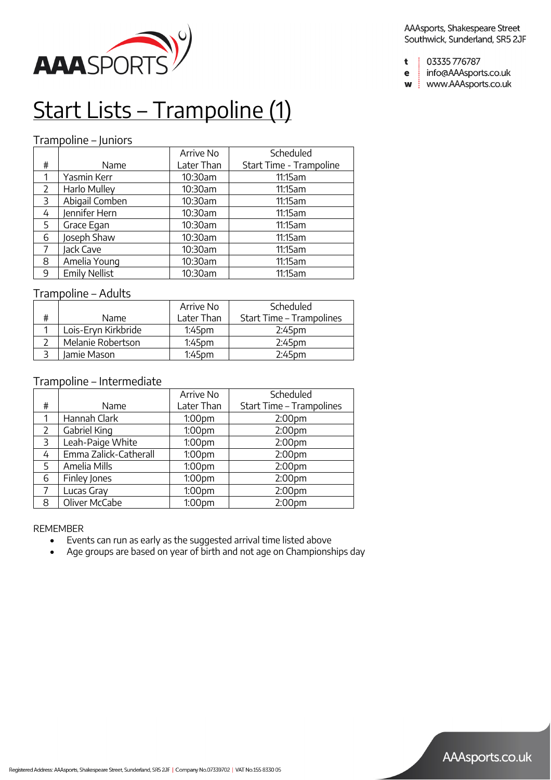

- AAAsports, Shakespeare Street Southwick, Sunderland, SR5 2JF
- 03335776787  $\mathbf t$
- info@AAAsports.co.uk  $\mathbf e$
- w | www.AAAsports.co.uk

# Start Lists – Trampoline (1)

## Trampoline – Juniors

|                       |                      | Arrive No  | Scheduled               |
|-----------------------|----------------------|------------|-------------------------|
| #                     | Name                 | Later Than | Start Time - Trampoline |
| 1                     | Yasmin Kerr          | 10:30am    | 11:15am                 |
| $\mathbf{2}^{\prime}$ | Harlo Mulley         | 10:30am    | 11:15am                 |
| 3                     | Abigail Comben       | 10:30am    | 11:15am                 |
| 4                     | Jennifer Hern        | 10:30am    | 11:15am                 |
| 5                     | Grace Egan           | 10:30am    | 11:15am                 |
| 6                     | Joseph Shaw          | 10:30am    | 11:15am                 |
| 7                     | Jack Cave            | 10:30am    | 11:15am                 |
| 8                     | Amelia Young         | 10:30am    | 11:15am                 |
| 9                     | <b>Emily Nellist</b> | 10:30am    | 11:15am                 |

### Trampoline – Adults

|   |                     | Arrive No          | Scheduled                |
|---|---------------------|--------------------|--------------------------|
| # | Name.               | Later Than         | Start Time - Trampolines |
|   | Lois-Eryn Kirkbride | $1:45$ pm          | 2:45 <sub>pm</sub>       |
|   | Melanie Robertson   | 1:45 <sub>pm</sub> | 2:45 <sub>pm</sub>       |
|   | Jamie Mason         | 1:45pm             | $2:45$ pm                |

### Trampoline – Intermediate

|                |                       | Arrive No          | Scheduled                |
|----------------|-----------------------|--------------------|--------------------------|
| #              | Name                  | Later Than         | Start Time - Trampolines |
| 1              | Hannah Clark          | 1:00 <sub>pm</sub> | 2:00 <sub>pm</sub>       |
| $\mathcal{L}$  | Gabriel King          | 1:00pm             | 2:00 <sub>pm</sub>       |
| $\overline{3}$ | Leah-Paige White      | 1:00pm             | 2:00 <sub>pm</sub>       |
| 4              | Emma Zalick-Catherall | 1:00pm             | 2:00 <sub>pm</sub>       |
| 5              | Amelia Mills          | 1:00pm             | 2:00 <sub>pm</sub>       |
| 6              | Finley Jones          | 1:00pm             | 2:00 <sub>pm</sub>       |
| 7              | Lucas Gray            | 1:00pm             | 2:00 <sub>pm</sub>       |
| 8              | Oliver McCabe         | 1:00pm             | 2:00 <sub>pm</sub>       |

- Events can run as early as the suggested arrival time listed above
- Age groups are based on year of birth and not age on Championships day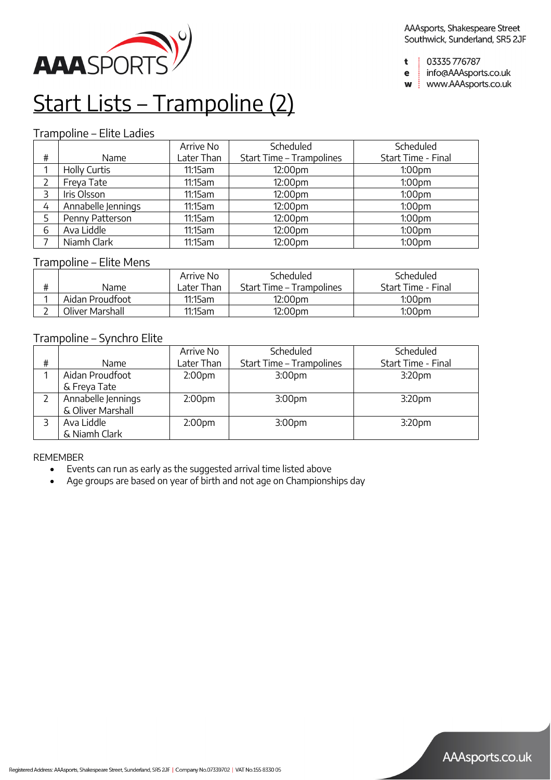

03335776787  $\ddot{\mathbf{t}}$ 

info@AAAsports.co.uk  $\mathbf e$ 

w | www.AAAsports.co.uk

## Start Lists – Trampoline (2)

### Trampoline – Elite Ladies

|      |                    | Arrive No  | Scheduled                | Scheduled          |
|------|--------------------|------------|--------------------------|--------------------|
| $\#$ | Name               | Later Than | Start Time - Trampolines | Start Time - Final |
|      | Holly Curtis       | 11:15am    | 12:00pm                  | 1:00 <sub>pm</sub> |
|      | Freya Tate         | 11:15am    | 12:00pm                  | 1:00 <sub>pm</sub> |
| 3    | Iris Olsson        | 11:15am    | 12:00pm                  | 1:00 <sub>pm</sub> |
| 4    | Annabelle Jennings | 11:15am    | 12:00pm                  | 1:00 <sub>pm</sub> |
|      | Penny Patterson    | 11:15am    | 12:00pm                  | 1:00 <sub>pm</sub> |
| 6    | Ava Liddle         | 11:15am    | 12:00pm                  | 1:00 <sub>pm</sub> |
|      | Niamh Clark        | 11:15am    | 12:00pm                  | 1:00 <sub>pm</sub> |

### Trampoline – Elite Mens

|   |                 | Arrive No              | Scheduled                | Scheduled          |
|---|-----------------|------------------------|--------------------------|--------------------|
| ₩ | Name            | <sub>-</sub> ater Than | Start Time – Trampolines | Start Time - Final |
|   | Aidan Proudfoot | 11:15am                | 12:00pm                  | $1:00$ pm          |
|   | Oliver Marshall | 11:15am                | 12:00pm                  | $1:00$ pm          |

### Trampoline – Synchro Elite

|   |                    | Arrive No          | Scheduled                | Scheduled          |
|---|--------------------|--------------------|--------------------------|--------------------|
| # | Name               | Later Than         | Start Time - Trampolines | Start Time - Final |
|   | Aidan Proudfoot    | 2:00 <sub>pm</sub> | 3:00 <sub>pm</sub>       | 3:20 <sub>pm</sub> |
|   | & Freya Tate       |                    |                          |                    |
|   | Annabelle Jennings | 2:00 <sub>pm</sub> | 3:00 <sub>pm</sub>       | 3:20 <sub>pm</sub> |
|   | & Oliver Marshall  |                    |                          |                    |
|   | Ava Liddle         | 2:00 <sub>pm</sub> | 3:00 <sub>pm</sub>       | 3:20 <sub>pm</sub> |
|   | & Niamh Clark      |                    |                          |                    |

- Events can run as early as the suggested arrival time listed above
- Age groups are based on year of birth and not age on Championships day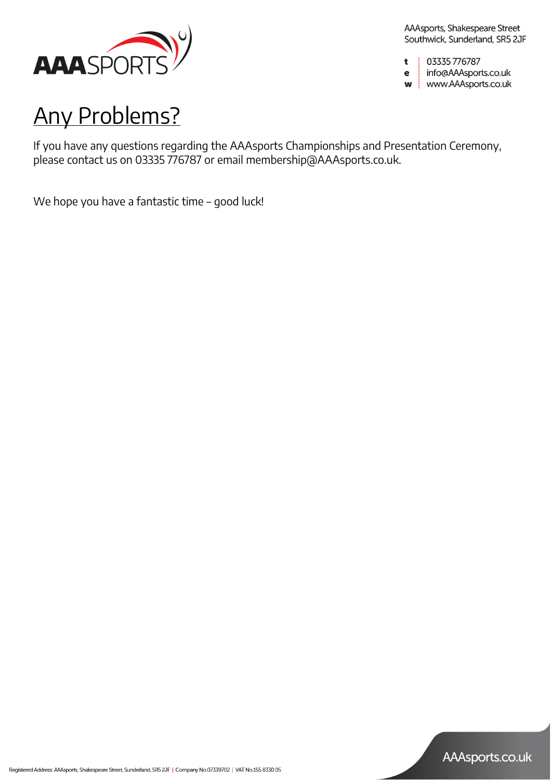

03335776787  $\mathbf t$ 

info@AAAsports.co.uk  $\mathbf e$ w | www.AAAsports.co.uk

Any Problems?

If you have any questions regarding the AAAsports Championships and Presentation Ceremony, please contact us on 03335 776787 or email membership@AAAsports.co.uk.

We hope you have a fantastic time – good luck!